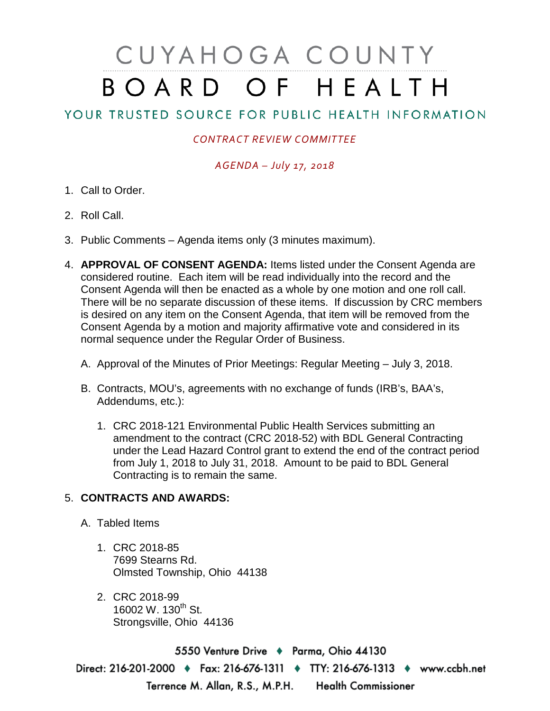# CUYAHOGA COUNTY BOARD OF HEALTH

## YOUR TRUSTED SOURCE FOR PUBLIC HEALTH INFORMATION

### *CONTRACT REVIEW COMMITTEE*

### *AGENDA – July 17, 2018*

- 1. Call to Order.
- 2. Roll Call.
- 3. Public Comments Agenda items only (3 minutes maximum).
- 4. **APPROVAL OF CONSENT AGENDA:** Items listed under the Consent Agenda are considered routine. Each item will be read individually into the record and the Consent Agenda will then be enacted as a whole by one motion and one roll call. There will be no separate discussion of these items. If discussion by CRC members is desired on any item on the Consent Agenda, that item will be removed from the Consent Agenda by a motion and majority affirmative vote and considered in its normal sequence under the Regular Order of Business.
	- A. Approval of the Minutes of Prior Meetings: Regular Meeting July 3, 2018.
	- B. Contracts, MOU's, agreements with no exchange of funds (IRB's, BAA's, Addendums, etc.):
		- 1. CRC 2018-121 Environmental Public Health Services submitting an amendment to the contract (CRC 2018-52) with BDL General Contracting under the Lead Hazard Control grant to extend the end of the contract period from July 1, 2018 to July 31, 2018. Amount to be paid to BDL General Contracting is to remain the same.

#### 5. **CONTRACTS AND AWARDS:**

- A. Tabled Items
	- 1. CRC 2018-85 7699 Stearns Rd. Olmsted Township, Ohio 44138
	- 2. CRC 2018-99 16002 W. 130<sup>th</sup> St. Strongsville, Ohio 44136

5550 Venture Drive + Parma, Ohio 44130 Direct: 216-201-2000 ♦ Fax: 216-676-1311 ♦ TTY: 216-676-1313 ♦ www.ccbh.net Terrence M. Allan, R.S., M.P.H. Health Commissioner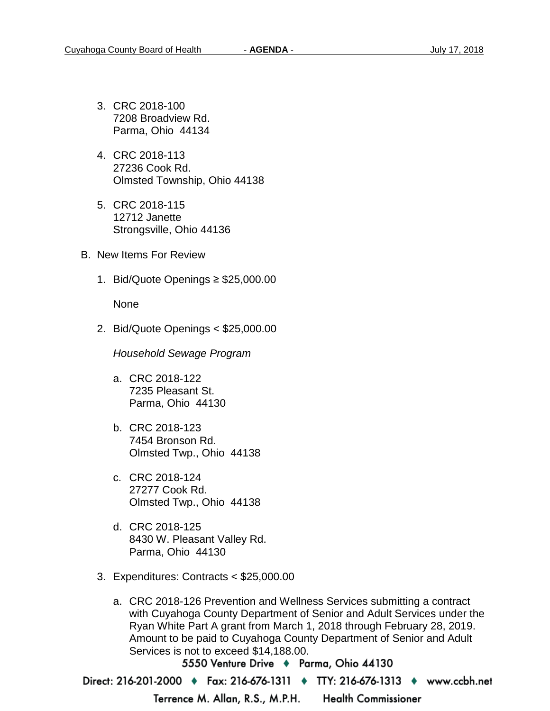- 3. CRC 2018-100 7208 Broadview Rd. Parma, Ohio 44134
- 4. CRC 2018-113 27236 Cook Rd. Olmsted Township, Ohio 44138
- 5. CRC 2018-115 12712 Janette Strongsville, Ohio 44136
- B. New Items For Review
	- 1. Bid/Quote Openings ≥ \$25,000.00

None

2. Bid/Quote Openings < \$25,000.00

*Household Sewage Program* 

- a. CRC 2018-122 7235 Pleasant St. Parma, Ohio 44130
- b. CRC 2018-123 7454 Bronson Rd. Olmsted Twp., Ohio 44138
- c. CRC 2018-124 27277 Cook Rd. Olmsted Twp., Ohio 44138
- d. CRC 2018-125 8430 W. Pleasant Valley Rd. Parma, Ohio 44130
- 3. Expenditures: Contracts < \$25,000.00
	- a. CRC 2018-126 Prevention and Wellness Services submitting a contract with Cuyahoga County Department of Senior and Adult Services under the Ryan White Part A grant from March 1, 2018 through February 28, 2019. Amount to be paid to Cuyahoga County Department of Senior and Adult Services is not to exceed \$14,188.00.

5550 Venture Drive + Parma, Ohio 44130

Direct: 216-201-2000 • Fax: 216-676-1311 • TTY: 216-676-1313 • www.ccbh.net

Terrence M. Allan, R.S., M.P.H. **Health Commissioner**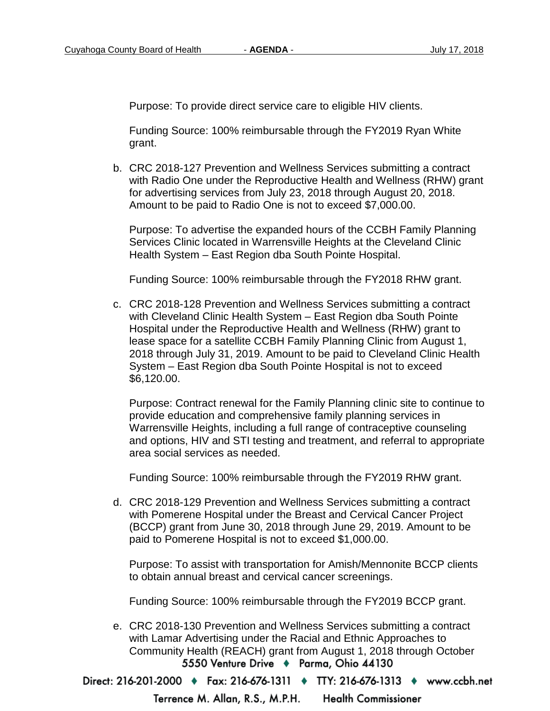Purpose: To provide direct service care to eligible HIV clients.

Funding Source: 100% reimbursable through the FY2019 Ryan White grant.

b. CRC 2018-127 Prevention and Wellness Services submitting a contract with Radio One under the Reproductive Health and Wellness (RHW) grant for advertising services from July 23, 2018 through August 20, 2018. Amount to be paid to Radio One is not to exceed \$7,000.00.

Purpose: To advertise the expanded hours of the CCBH Family Planning Services Clinic located in Warrensville Heights at the Cleveland Clinic Health System – East Region dba South Pointe Hospital.

Funding Source: 100% reimbursable through the FY2018 RHW grant.

c. CRC 2018-128 Prevention and Wellness Services submitting a contract with Cleveland Clinic Health System – East Region dba South Pointe Hospital under the Reproductive Health and Wellness (RHW) grant to lease space for a satellite CCBH Family Planning Clinic from August 1, 2018 through July 31, 2019. Amount to be paid to Cleveland Clinic Health System – East Region dba South Pointe Hospital is not to exceed \$6,120.00.

Purpose: Contract renewal for the Family Planning clinic site to continue to provide education and comprehensive family planning services in Warrensville Heights, including a full range of contraceptive counseling and options, HIV and STI testing and treatment, and referral to appropriate area social services as needed.

Funding Source: 100% reimbursable through the FY2019 RHW grant.

d. CRC 2018-129 Prevention and Wellness Services submitting a contract with Pomerene Hospital under the Breast and Cervical Cancer Project (BCCP) grant from June 30, 2018 through June 29, 2019. Amount to be paid to Pomerene Hospital is not to exceed \$1,000.00.

Purpose: To assist with transportation for Amish/Mennonite BCCP clients to obtain annual breast and cervical cancer screenings.

Funding Source: 100% reimbursable through the FY2019 BCCP grant.

e. CRC 2018-130 Prevention and Wellness Services submitting a contract with Lamar Advertising under the Racial and Ethnic Approaches to Community Health (REACH) grant from August 1, 2018 through October 5550 Venture Drive + Parma, Ohio 44130

Direct: 216-201-2000 • Fax: 216-676-1311 • TTY: 216-676-1313 • www.ccbh.net

**Health Commissioner** Terrence M. Allan, R.S., M.P.H.